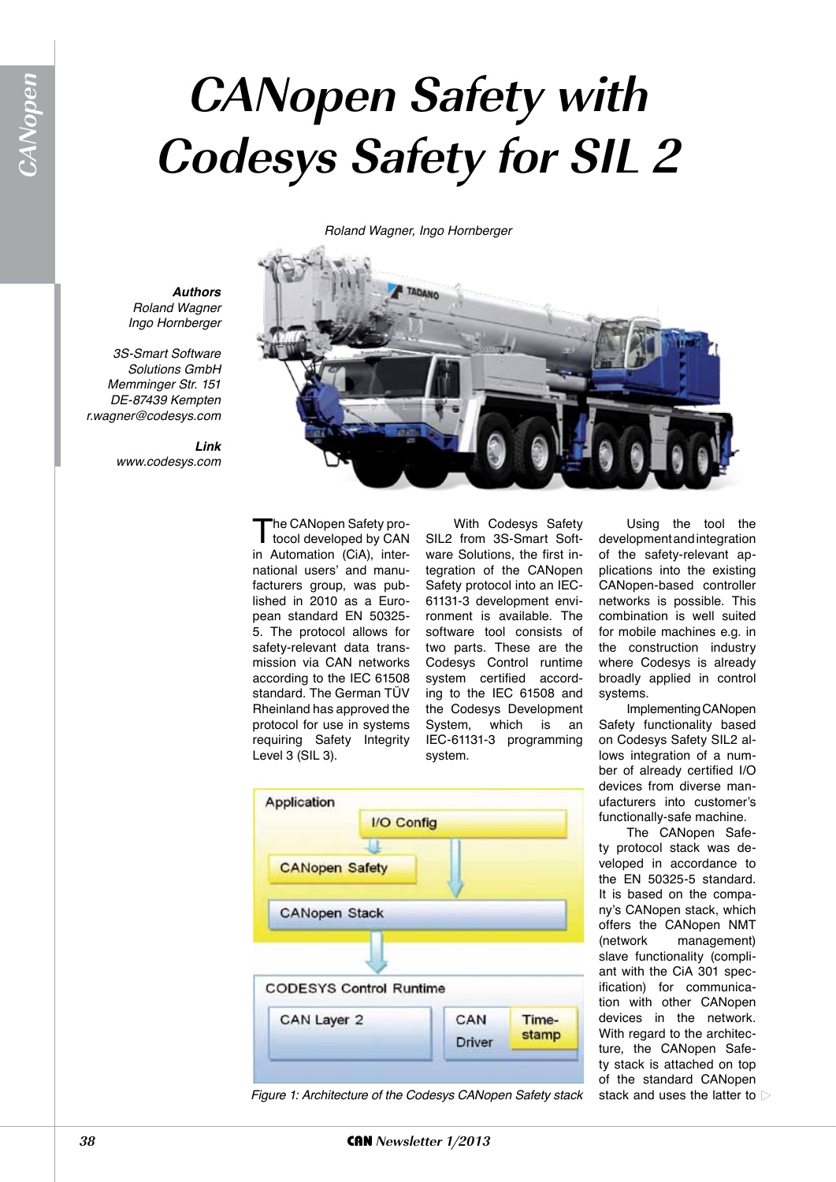## **CANopen Safety with Codesys Safety for SIL 2**

*Roland Wagner, Ingo Hornberger*



*Authors Roland Wagner Ingo Hornberger*

*3S-Smart Software Solutions GmbH Memminger Str. 151 DE-87439 Kempten r.wagner@codesys.com*

> *Link www.codesys.com*

> > The CANopen Safety pro-<br>tocol developed by CAN<br>in Automotion (CiA), interin Automation (CiA), international users' and manufacturers group, was published in 2010 as a European standard EN 50325- 5. The protocol allows for safety-relevant data transmission via CAN networks according to the IEC 61508 standard. The German TÜV Rheinland has approved the protocol for use in systems requiring Safety Integrity Level 3 (SIL 3).

With Codesys Safety SIL2 from 3S-Smart Software Solutions, the first integration of the CANopen Safety protocol into an IEC-61131-3 development environment is available. The software tool consists of two parts. These are the Codesys Control runtime system certified according to the IEC 61508 and the Codesys Development System, which is an IEC-61131-3 programming system.

Using the tool the development and integration of the safety-relevant applications into the existing CANopen-based controller networks is possible. This combination is well suited for mobile machines e.g. in the construction industry where Codesys is already broadly applied in control systems.

Implementing CANopen Safety functionality based on Codesys Safety SIL2 allows integration of a number of already certified I/O devices from diverse manufacturers into customer's functionally-safe machine.

The CANopen Safety protocol stack was developed in accordance to the EN 50325-5 standard. It is based on the company's CANopen stack, which offers the CANopen NMT (network management) slave functionality (compliant with the CiA 301 specification) for communication with other CANopen devices in the network. With regard to the architecture, the CANopen Safety stack is attached on top of the standard CANopen stack and uses the latter to  $\triangleright$